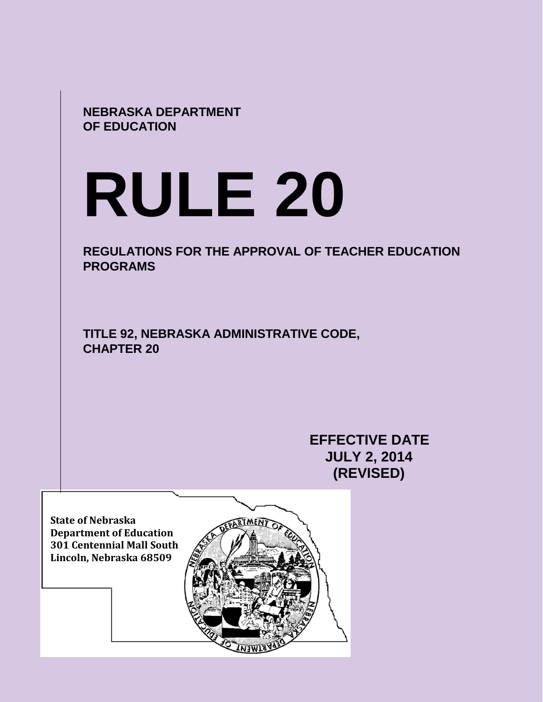**NEBRASKA DEPARTMENT OF EDUCATION**

# **RULE 20**

**REGULATIONS FOR THE APPROVAL OF TEACHER EDUCATION PROGRAMS** 

**TITLE 92, NEBRASKA ADMINISTRATIVE CODE, CHAPTER 20**

> **EFFECTIVE DATE JULY 2, 2014 (REVISED)**

**State of Nebraska Department of Education 301 Centennial Mall South Lincoln, Nebraska 68509**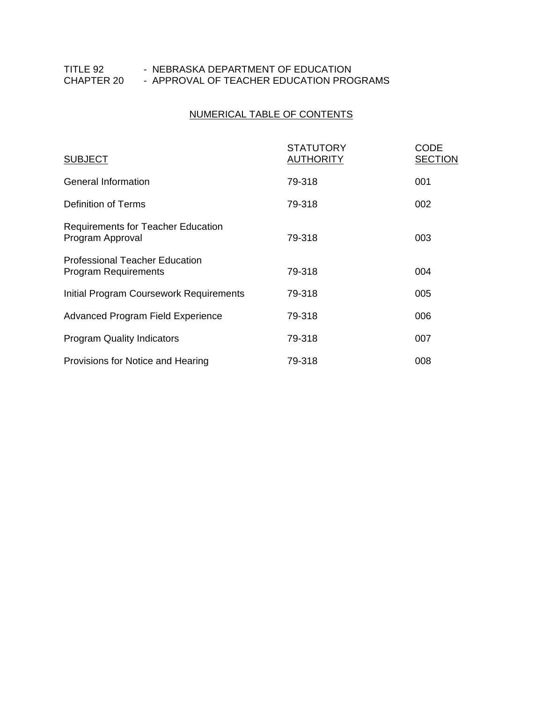# NUMERICAL TABLE OF CONTENTS

| <b>SUBJECT</b>                                                       | <b>STATUTORY</b><br><b>AUTHORITY</b> | <b>CODE</b><br><b>SECTION</b> |
|----------------------------------------------------------------------|--------------------------------------|-------------------------------|
| General Information                                                  | 79-318                               | 001                           |
| Definition of Terms                                                  | 79-318                               | 002                           |
| <b>Requirements for Teacher Education</b><br>Program Approval        | 79-318                               | 003                           |
| <b>Professional Teacher Education</b><br><b>Program Requirements</b> | 79-318                               | 004                           |
| Initial Program Coursework Requirements                              | 79-318                               | 005                           |
| Advanced Program Field Experience                                    | 79-318                               | 006                           |
| <b>Program Quality Indicators</b>                                    | 79-318                               | 007                           |
| Provisions for Notice and Hearing                                    | 79-318                               | 008                           |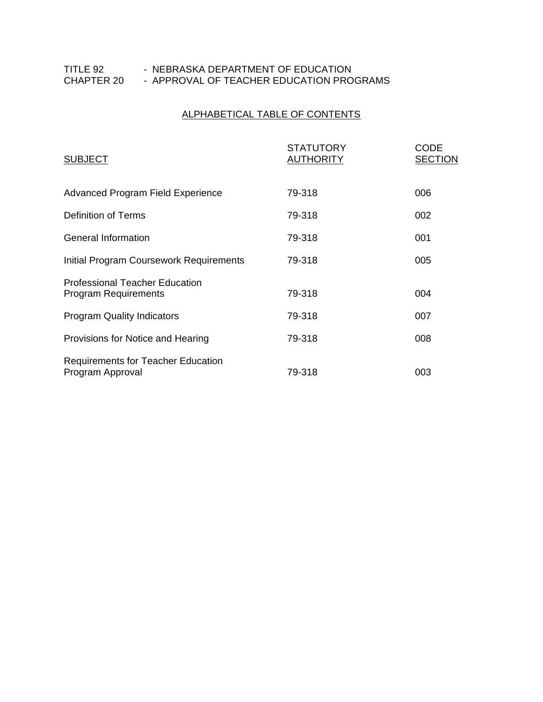# ALPHABETICAL TABLE OF CONTENTS

| <b>SUBJECT</b>                                                       | <b>STATUTORY</b><br><b>AUTHORITY</b> | CODE<br><b>SECTION</b> |
|----------------------------------------------------------------------|--------------------------------------|------------------------|
| Advanced Program Field Experience                                    | 79-318                               | 006                    |
| Definition of Terms                                                  | 79-318                               | 002                    |
| General Information                                                  | 79-318                               | 001                    |
| Initial Program Coursework Requirements                              | 79-318                               | 005                    |
| <b>Professional Teacher Education</b><br><b>Program Requirements</b> | 79-318                               | 004                    |
| <b>Program Quality Indicators</b>                                    | 79-318                               | 007                    |
| Provisions for Notice and Hearing                                    | 79-318                               | 008                    |
| <b>Requirements for Teacher Education</b><br>Program Approval        | 79-318                               | 003                    |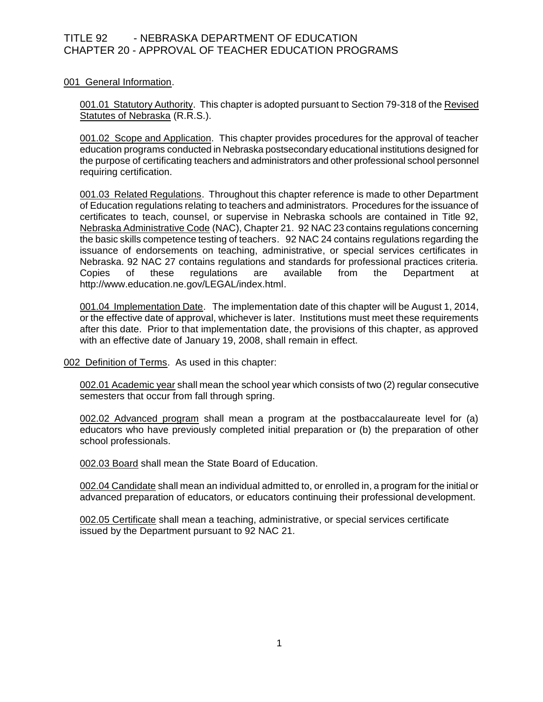001 General Information.

001.01 Statutory Authority. This chapter is adopted pursuant to Section 79-318 of the Revised Statutes of Nebraska (R.R.S.).

001.02 Scope and Application. This chapter provides procedures for the approval of teacher education programs conducted in Nebraska postsecondary educational institutions designed for the purpose of certificating teachers and administrators and other professional school personnel requiring certification.

001.03 Related Regulations. Throughout this chapter reference is made to other Department of Education regulations relating to teachers and administrators. Procedures for the issuance of certificates to teach, counsel, or supervise in Nebraska schools are contained in Title 92, Nebraska Administrative Code (NAC), Chapter 21. 92 NAC 23 contains regulations concerning the basic skills competence testing of teachers. 92 NAC 24 contains regulations regarding the issuance of endorsements on teaching, administrative, or special services certificates in Nebraska. 92 NAC 27 contains regulations and standards for professional practices criteria. Copies of these regulations are available from the Department at http://www.education.ne.gov/LEGAL/index.html.

001.04 Implementation Date. The implementation date of this chapter will be August 1, 2014, or the effective date of approval, whichever is later. Institutions must meet these requirements after this date. Prior to that implementation date, the provisions of this chapter, as approved with an effective date of January 19, 2008, shall remain in effect.

002 Definition of Terms. As used in this chapter:

002.01 Academic year shall mean the school year which consists of two (2) regular consecutive semesters that occur from fall through spring.

002.02 Advanced program shall mean a program at the postbaccalaureate level for (a) educators who have previously completed initial preparation or (b) the preparation of other school professionals.

002.03 Board shall mean the State Board of Education.

002.04 Candidate shall mean an individual admitted to, or enrolled in, a program for the initial or advanced preparation of educators, or educators continuing their professional development.

002.05 Certificate shall mean a teaching, administrative, or special services certificate issued by the Department pursuant to 92 NAC 21.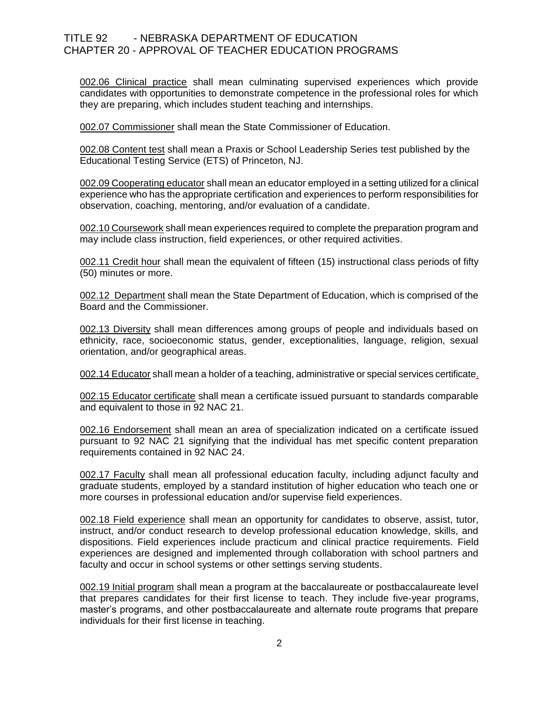002.06 Clinical practice shall mean culminating supervised experiences which provide candidates with opportunities to demonstrate competence in the professional roles for which they are preparing, which includes student teaching and internships.

002.07 Commissioner shall mean the State Commissioner of Education.

002.08 Content test shall mean a Praxis or School Leadership Series test published by the Educational Testing Service (ETS) of Princeton, NJ.

002.09 Cooperating educator shall mean an educator employed in a setting utilized for a clinical experience who has the appropriate certification and experiences to perform responsibilities for observation, coaching, mentoring, and/or evaluation of a candidate.

002.10 Coursework shall mean experiences required to complete the preparation program and may include class instruction, field experiences, or other required activities.

002.11 Credit hour shall mean the equivalent of fifteen (15) instructional class periods of fifty (50) minutes or more.

002.12 Department shall mean the State Department of Education, which is comprised of the Board and the Commissioner.

002.13 Diversity shall mean differences among groups of people and individuals based on ethnicity, race, socioeconomic status, gender, exceptionalities, language, religion, sexual orientation, and/or geographical areas.

002.14 Educator shall mean a holder of a teaching, administrative or special services certificate.

002.15 Educator certificate shall mean a certificate issued pursuant to standards comparable and equivalent to those in 92 NAC 21.

002.16 Endorsement shall mean an area of specialization indicated on a certificate issued pursuant to 92 NAC 21 signifying that the individual has met specific content preparation requirements contained in 92 NAC 24.

002.17 Faculty shall mean all professional education faculty, including adjunct faculty and graduate students, employed by a standard institution of higher education who teach one or more courses in professional education and/or supervise field experiences.

002.18 Field experience shall mean an opportunity for candidates to observe, assist, tutor, instruct, and/or conduct research to develop professional education knowledge, skills, and dispositions. Field experiences include practicum and clinical practice requirements. Field experiences are designed and implemented through collaboration with school partners and faculty and occur in school systems or other settings serving students.

002.19 Initial program shall mean a program at the baccalaureate or postbaccalaureate level that prepares candidates for their first license to teach. They include five-year programs, master's programs, and other postbaccalaureate and alternate route programs that prepare individuals for their first license in teaching.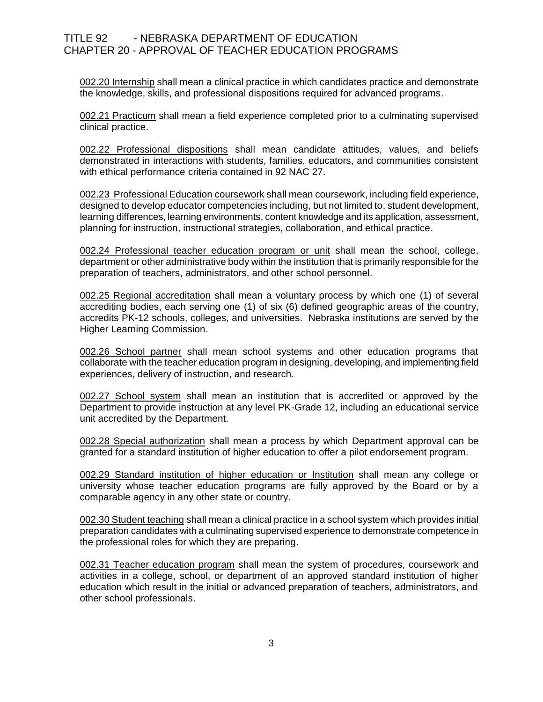002.20 Internship shall mean a clinical practice in which candidates practice and demonstrate the knowledge, skills, and professional dispositions required for advanced programs.

002.21 Practicum shall mean a field experience completed prior to a culminating supervised clinical practice.

002.22 Professional dispositions shall mean candidate attitudes, values, and beliefs demonstrated in interactions with students, families, educators, and communities consistent with ethical performance criteria contained in 92 NAC 27.

002.23 Professional Education coursework shall mean coursework, including field experience, designed to develop educator competencies including, but not limited to, student development, learning differences, learning environments, content knowledge and its application, assessment, planning for instruction, instructional strategies, collaboration, and ethical practice.

002.24 Professional teacher education program or unit shall mean the school, college, department or other administrative body within the institution that is primarily responsible for the preparation of teachers, administrators, and other school personnel.

002.25 Regional accreditation shall mean a voluntary process by which one (1) of several accrediting bodies, each serving one (1) of six (6) defined geographic areas of the country, accredits PK-12 schools, colleges, and universities. Nebraska institutions are served by the Higher Learning Commission.

002.26 School partner shall mean school systems and other education programs that collaborate with the teacher education program in designing, developing, and implementing field experiences, delivery of instruction, and research.

002.27 School system shall mean an institution that is accredited or approved by the Department to provide instruction at any level PK-Grade 12, including an educational service unit accredited by the Department.

002.28 Special authorization shall mean a process by which Department approval can be granted for a standard institution of higher education to offer a pilot endorsement program.

002.29 Standard institution of higher education or Institution shall mean any college or university whose teacher education programs are fully approved by the Board or by a comparable agency in any other state or country.

002.30 Student teaching shall mean a clinical practice in a school system which provides initial preparation candidates with a culminating supervised experience to demonstrate competence in the professional roles for which they are preparing.

002.31 Teacher education program shall mean the system of procedures, coursework and activities in a college, school, or department of an approved standard institution of higher education which result in the initial or advanced preparation of teachers, administrators, and other school professionals.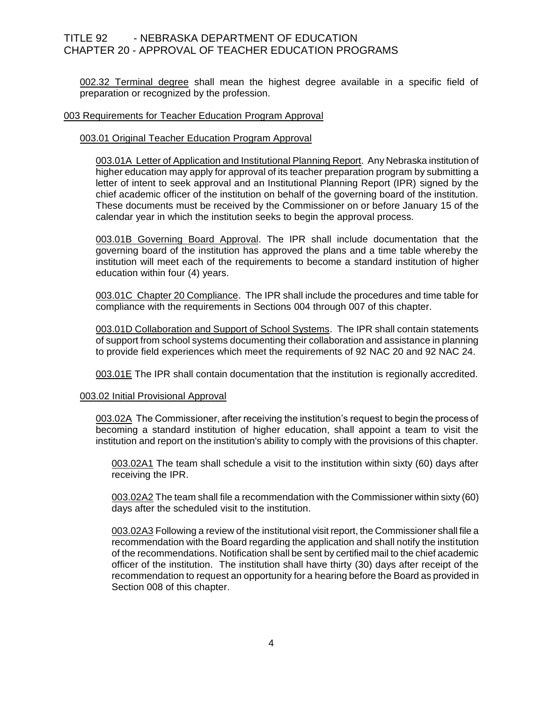002.32 Terminal degree shall mean the highest degree available in a specific field of preparation or recognized by the profession.

## 003 Requirements for Teacher Education Program Approval

## 003.01 Original Teacher Education Program Approval

003.01A Letter of Application and Institutional Planning Report. Any Nebraska institution of higher education may apply for approval of its teacher preparation program by submitting a letter of intent to seek approval and an Institutional Planning Report (IPR) signed by the chief academic officer of the institution on behalf of the governing board of the institution. These documents must be received by the Commissioner on or before January 15 of the calendar year in which the institution seeks to begin the approval process.

003.01B Governing Board Approval. The IPR shall include documentation that the governing board of the institution has approved the plans and a time table whereby the institution will meet each of the requirements to become a standard institution of higher education within four (4) years.

003.01C Chapter 20 Compliance. The IPR shall include the procedures and time table for compliance with the requirements in Sections 004 through 007 of this chapter.

003.01D Collaboration and Support of School Systems. The IPR shall contain statements of support from school systems documenting their collaboration and assistance in planning to provide field experiences which meet the requirements of 92 NAC 20 and 92 NAC 24.

003.01E The IPR shall contain documentation that the institution is regionally accredited.

#### 003.02 Initial Provisional Approval

003.02A The Commissioner, after receiving the institution's request to begin the process of becoming a standard institution of higher education, shall appoint a team to visit the institution and report on the institution's ability to comply with the provisions of this chapter.

003.02A1 The team shall schedule a visit to the institution within sixty (60) days after receiving the IPR.

003.02A2 The team shall file a recommendation with the Commissioner within sixty (60) days after the scheduled visit to the institution.

003.02A3 Following a review of the institutional visit report, the Commissioner shall file a recommendation with the Board regarding the application and shall notify the institution of the recommendations. Notification shall be sent by certified mail to the chief academic officer of the institution. The institution shall have thirty (30) days after receipt of the recommendation to request an opportunity for a hearing before the Board as provided in Section 008 of this chapter.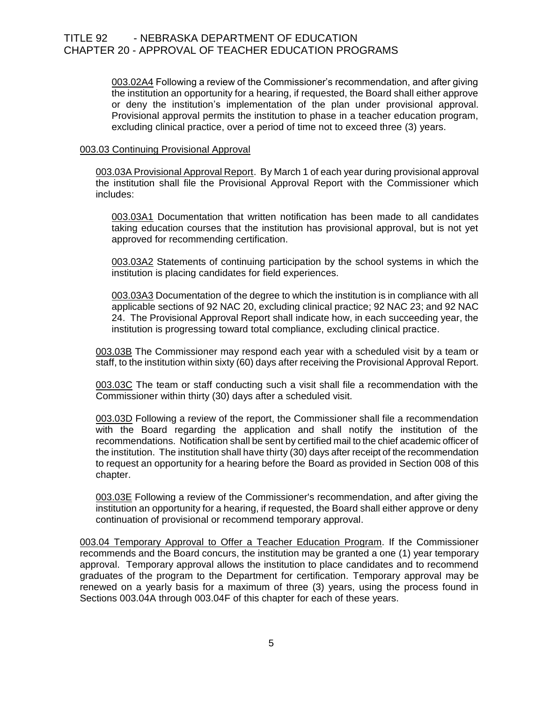003.02A4 Following a review of the Commissioner's recommendation, and after giving the institution an opportunity for a hearing, if requested, the Board shall either approve or deny the institution's implementation of the plan under provisional approval. Provisional approval permits the institution to phase in a teacher education program, excluding clinical practice, over a period of time not to exceed three (3) years.

## 003.03 Continuing Provisional Approval

003.03A Provisional Approval Report. By March 1 of each year during provisional approval the institution shall file the Provisional Approval Report with the Commissioner which includes:

003.03A1 Documentation that written notification has been made to all candidates taking education courses that the institution has provisional approval, but is not yet approved for recommending certification.

003.03A2 Statements of continuing participation by the school systems in which the institution is placing candidates for field experiences.

003.03A3 Documentation of the degree to which the institution is in compliance with all applicable sections of 92 NAC 20, excluding clinical practice; 92 NAC 23; and 92 NAC 24. The Provisional Approval Report shall indicate how, in each succeeding year, the institution is progressing toward total compliance, excluding clinical practice.

003.03B The Commissioner may respond each year with a scheduled visit by a team or staff, to the institution within sixty (60) days after receiving the Provisional Approval Report.

003.03C The team or staff conducting such a visit shall file a recommendation with the Commissioner within thirty (30) days after a scheduled visit.

003.03D Following a review of the report, the Commissioner shall file a recommendation with the Board regarding the application and shall notify the institution of the recommendations. Notification shall be sent by certified mail to the chief academic officer of the institution. The institution shall have thirty (30) days after receipt of the recommendation to request an opportunity for a hearing before the Board as provided in Section 008 of this chapter.

003.03E Following a review of the Commissioner's recommendation, and after giving the institution an opportunity for a hearing, if requested, the Board shall either approve or deny continuation of provisional or recommend temporary approval.

003.04 Temporary Approval to Offer a Teacher Education Program. If the Commissioner recommends and the Board concurs, the institution may be granted a one (1) year temporary approval. Temporary approval allows the institution to place candidates and to recommend graduates of the program to the Department for certification. Temporary approval may be renewed on a yearly basis for a maximum of three (3) years, using the process found in Sections 003.04A through 003.04F of this chapter for each of these years.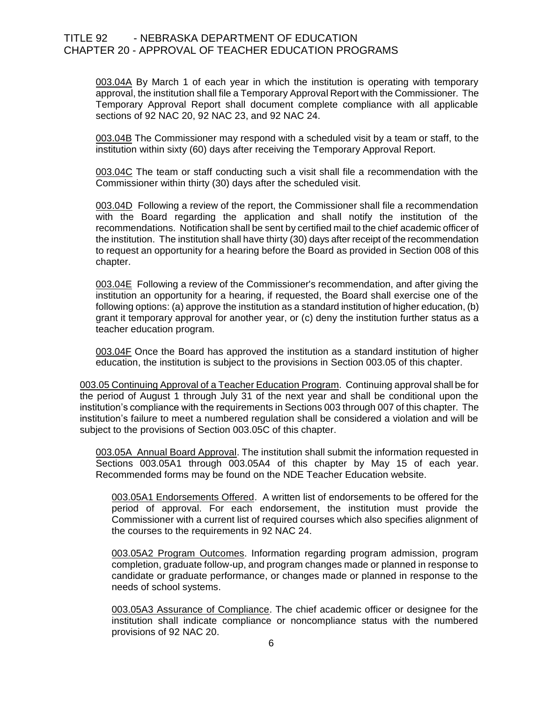003.04A By March 1 of each year in which the institution is operating with temporary approval, the institution shall file a Temporary Approval Report with the Commissioner. The Temporary Approval Report shall document complete compliance with all applicable sections of 92 NAC 20, 92 NAC 23, and 92 NAC 24.

003.04B The Commissioner may respond with a scheduled visit by a team or staff, to the institution within sixty (60) days after receiving the Temporary Approval Report.

003.04C The team or staff conducting such a visit shall file a recommendation with the Commissioner within thirty (30) days after the scheduled visit.

003.04D Following a review of the report, the Commissioner shall file a recommendation with the Board regarding the application and shall notify the institution of the recommendations. Notification shall be sent by certified mail to the chief academic officer of the institution. The institution shall have thirty (30) days after receipt of the recommendation to request an opportunity for a hearing before the Board as provided in Section 008 of this chapter.

003.04E Following a review of the Commissioner's recommendation, and after giving the institution an opportunity for a hearing, if requested, the Board shall exercise one of the following options: (a) approve the institution as a standard institution of higher education, (b) grant it temporary approval for another year, or (c) deny the institution further status as a teacher education program.

003.04F Once the Board has approved the institution as a standard institution of higher education, the institution is subject to the provisions in Section 003.05 of this chapter.

003.05 Continuing Approval of a Teacher Education Program. Continuing approval shall be for the period of August 1 through July 31 of the next year and shall be conditional upon the institution's compliance with the requirements in Sections 003 through 007 of this chapter. The institution's failure to meet a numbered regulation shall be considered a violation and will be subject to the provisions of Section 003.05C of this chapter.

003.05A Annual Board Approval. The institution shall submit the information requested in Sections 003.05A1 through 003.05A4 of this chapter by May 15 of each year. Recommended forms may be found on the NDE Teacher Education website.

003.05A1 Endorsements Offered. A written list of endorsements to be offered for the period of approval. For each endorsement, the institution must provide the Commissioner with a current list of required courses which also specifies alignment of the courses to the requirements in 92 NAC 24.

003.05A2 Program Outcomes. Information regarding program admission, program completion, graduate follow-up, and program changes made or planned in response to candidate or graduate performance, or changes made or planned in response to the needs of school systems.

003.05A3 Assurance of Compliance. The chief academic officer or designee for the institution shall indicate compliance or noncompliance status with the numbered provisions of 92 NAC 20.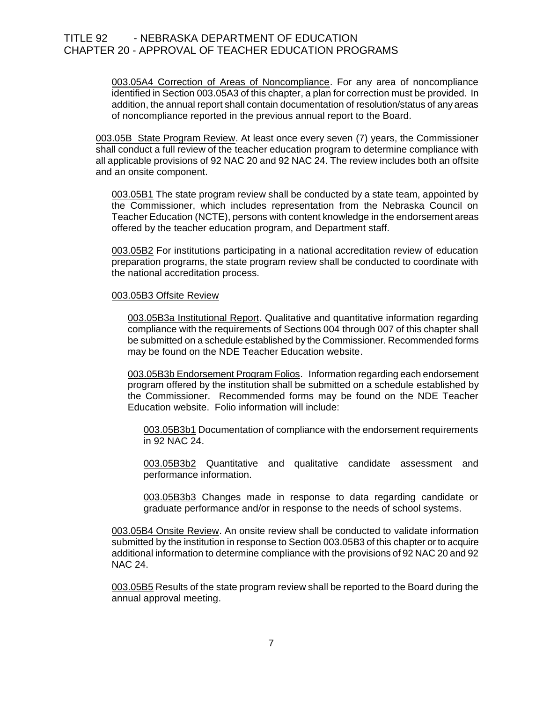003.05A4 Correction of Areas of Noncompliance. For any area of noncompliance identified in Section 003.05A3 of this chapter, a plan for correction must be provided. In addition, the annual report shall contain documentation of resolution/status of any areas of noncompliance reported in the previous annual report to the Board.

003.05B State Program Review. At least once every seven (7) years, the Commissioner shall conduct a full review of the teacher education program to determine compliance with all applicable provisions of 92 NAC 20 and 92 NAC 24. The review includes both an offsite and an onsite component.

003.05B1 The state program review shall be conducted by a state team, appointed by the Commissioner, which includes representation from the Nebraska Council on Teacher Education (NCTE), persons with content knowledge in the endorsement areas offered by the teacher education program, and Department staff.

003.05B2 For institutions participating in a national accreditation review of education preparation programs, the state program review shall be conducted to coordinate with the national accreditation process.

## 003.05B3 Offsite Review

003.05B3a Institutional Report. Qualitative and quantitative information regarding compliance with the requirements of Sections 004 through 007 of this chapter shall be submitted on a schedule established by the Commissioner. Recommended forms may be found on the NDE Teacher Education website.

003.05B3b Endorsement Program Folios. Information regarding each endorsement program offered by the institution shall be submitted on a schedule established by the Commissioner. Recommended forms may be found on the NDE Teacher Education website. Folio information will include:

003.05B3b1 Documentation of compliance with the endorsement requirements in 92 NAC 24.

003.05B3b2 Quantitative and qualitative candidate assessment and performance information.

003.05B3b3 Changes made in response to data regarding candidate or graduate performance and/or in response to the needs of school systems.

003.05B4 Onsite Review. An onsite review shall be conducted to validate information submitted by the institution in response to Section 003.05B3 of this chapter or to acquire additional information to determine compliance with the provisions of 92 NAC 20 and 92 NAC 24.

003.05B5 Results of the state program review shall be reported to the Board during the annual approval meeting.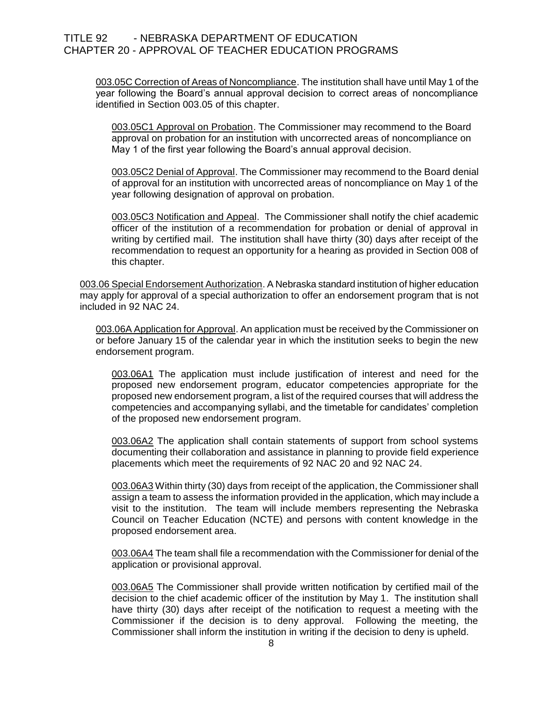003.05C Correction of Areas of Noncompliance. The institution shall have until May 1 of the year following the Board's annual approval decision to correct areas of noncompliance identified in Section 003.05 of this chapter.

003.05C1 Approval on Probation. The Commissioner may recommend to the Board approval on probation for an institution with uncorrected areas of noncompliance on May 1 of the first year following the Board's annual approval decision.

003.05C2 Denial of Approval. The Commissioner may recommend to the Board denial of approval for an institution with uncorrected areas of noncompliance on May 1 of the year following designation of approval on probation.

003.05C3 Notification and Appeal. The Commissioner shall notify the chief academic officer of the institution of a recommendation for probation or denial of approval in writing by certified mail. The institution shall have thirty (30) days after receipt of the recommendation to request an opportunity for a hearing as provided in Section 008 of this chapter.

003.06 Special Endorsement Authorization. A Nebraska standard institution of higher education may apply for approval of a special authorization to offer an endorsement program that is not included in 92 NAC 24.

003.06A Application for Approval. An application must be received by the Commissioner on or before January 15 of the calendar year in which the institution seeks to begin the new endorsement program.

003.06A1 The application must include justification of interest and need for the proposed new endorsement program, educator competencies appropriate for the proposed new endorsement program, a list of the required courses that will address the competencies and accompanying syllabi, and the timetable for candidates' completion of the proposed new endorsement program.

003.06A2 The application shall contain statements of support from school systems documenting their collaboration and assistance in planning to provide field experience placements which meet the requirements of 92 NAC 20 and 92 NAC 24.

003.06A3 Within thirty (30) days from receipt of the application, the Commissioner shall assign a team to assess the information provided in the application, which may include a visit to the institution. The team will include members representing the Nebraska Council on Teacher Education (NCTE) and persons with content knowledge in the proposed endorsement area.

003.06A4 The team shall file a recommendation with the Commissioner for denial of the application or provisional approval.

003.06A5 The Commissioner shall provide written notification by certified mail of the decision to the chief academic officer of the institution by May 1. The institution shall have thirty (30) days after receipt of the notification to request a meeting with the Commissioner if the decision is to deny approval. Following the meeting, the Commissioner shall inform the institution in writing if the decision to deny is upheld.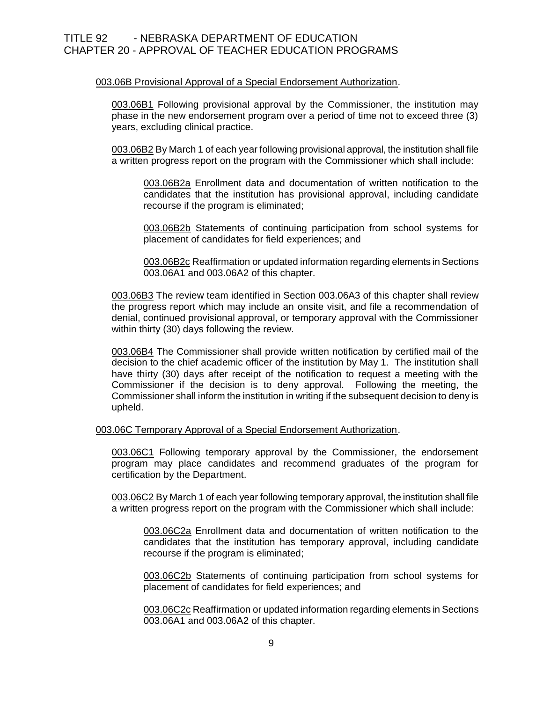## 003.06B Provisional Approval of a Special Endorsement Authorization.

003.06B1 Following provisional approval by the Commissioner, the institution may phase in the new endorsement program over a period of time not to exceed three (3) years, excluding clinical practice.

003.06B2 By March 1 of each year following provisional approval, the institution shall file a written progress report on the program with the Commissioner which shall include:

003.06B2a Enrollment data and documentation of written notification to the candidates that the institution has provisional approval, including candidate recourse if the program is eliminated;

003.06B2b Statements of continuing participation from school systems for placement of candidates for field experiences; and

003.06B2c Reaffirmation or updated information regarding elements in Sections 003.06A1 and 003.06A2 of this chapter.

003.06B3 The review team identified in Section 003.06A3 of this chapter shall review the progress report which may include an onsite visit, and file a recommendation of denial, continued provisional approval, or temporary approval with the Commissioner within thirty (30) days following the review.

003.06B4 The Commissioner shall provide written notification by certified mail of the decision to the chief academic officer of the institution by May 1. The institution shall have thirty (30) days after receipt of the notification to request a meeting with the Commissioner if the decision is to deny approval. Following the meeting, the Commissioner shall inform the institution in writing if the subsequent decision to deny is upheld.

003.06C Temporary Approval of a Special Endorsement Authorization.

003.06C1 Following temporary approval by the Commissioner, the endorsement program may place candidates and recommend graduates of the program for certification by the Department.

003.06C2 By March 1 of each year following temporary approval, the institution shall file a written progress report on the program with the Commissioner which shall include:

003.06C2a Enrollment data and documentation of written notification to the candidates that the institution has temporary approval, including candidate recourse if the program is eliminated;

003.06C2b Statements of continuing participation from school systems for placement of candidates for field experiences; and

003.06C2c Reaffirmation or updated information regarding elements in Sections 003.06A1 and 003.06A2 of this chapter.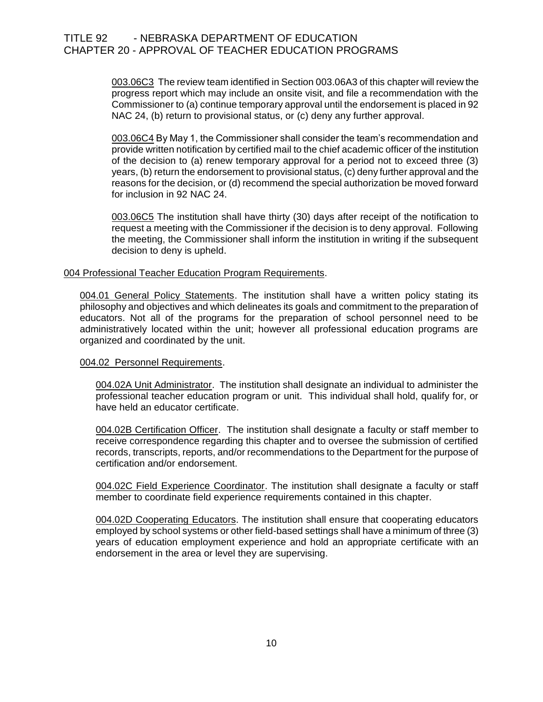003.06C3 The review team identified in Section 003.06A3 of this chapter will review the progress report which may include an onsite visit, and file a recommendation with the Commissioner to (a) continue temporary approval until the endorsement is placed in 92 NAC 24, (b) return to provisional status, or (c) deny any further approval.

003.06C4 By May 1, the Commissioner shall consider the team's recommendation and provide written notification by certified mail to the chief academic officer of the institution of the decision to (a) renew temporary approval for a period not to exceed three (3) years, (b) return the endorsement to provisional status, (c) deny further approval and the reasons for the decision, or (d) recommend the special authorization be moved forward for inclusion in 92 NAC 24.

003.06C5 The institution shall have thirty (30) days after receipt of the notification to request a meeting with the Commissioner if the decision is to deny approval. Following the meeting, the Commissioner shall inform the institution in writing if the subsequent decision to deny is upheld.

## 004 Professional Teacher Education Program Requirements.

004.01 General Policy Statements. The institution shall have a written policy stating its philosophy and objectives and which delineates its goals and commitment to the preparation of educators. Not all of the programs for the preparation of school personnel need to be administratively located within the unit; however all professional education programs are organized and coordinated by the unit.

#### 004.02 Personnel Requirements.

004.02A Unit Administrator. The institution shall designate an individual to administer the professional teacher education program or unit. This individual shall hold, qualify for, or have held an educator certificate.

004.02B Certification Officer. The institution shall designate a faculty or staff member to receive correspondence regarding this chapter and to oversee the submission of certified records, transcripts, reports, and/or recommendations to the Department for the purpose of certification and/or endorsement.

004.02C Field Experience Coordinator. The institution shall designate a faculty or staff member to coordinate field experience requirements contained in this chapter.

004.02D Cooperating Educators. The institution shall ensure that cooperating educators employed by school systems or other field-based settings shall have a minimum of three (3) years of education employment experience and hold an appropriate certificate with an endorsement in the area or level they are supervising.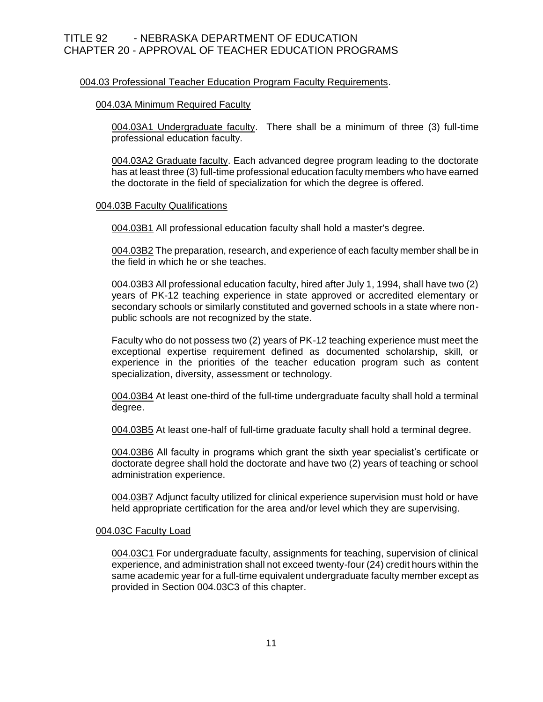## 004.03 Professional Teacher Education Program Faculty Requirements.

## 004.03A Minimum Required Faculty

004.03A1 Undergraduate faculty. There shall be a minimum of three (3) full-time professional education faculty.

004.03A2 Graduate faculty. Each advanced degree program leading to the doctorate has at least three (3) full-time professional education faculty members who have earned the doctorate in the field of specialization for which the degree is offered.

## 004.03B Faculty Qualifications

004.03B1 All professional education faculty shall hold a master's degree.

004.03B2 The preparation, research, and experience of each faculty member shall be in the field in which he or she teaches.

004.03B3 All professional education faculty, hired after July 1, 1994, shall have two (2) years of PK-12 teaching experience in state approved or accredited elementary or secondary schools or similarly constituted and governed schools in a state where nonpublic schools are not recognized by the state.

Faculty who do not possess two (2) years of PK-12 teaching experience must meet the exceptional expertise requirement defined as documented scholarship, skill, or experience in the priorities of the teacher education program such as content specialization, diversity, assessment or technology.

004.03B4 At least one-third of the full-time undergraduate faculty shall hold a terminal degree.

004.03B5 At least one-half of full-time graduate faculty shall hold a terminal degree.

004.03B6 All faculty in programs which grant the sixth year specialist's certificate or doctorate degree shall hold the doctorate and have two (2) years of teaching or school administration experience.

004.03B7 Adjunct faculty utilized for clinical experience supervision must hold or have held appropriate certification for the area and/or level which they are supervising.

## 004.03C Faculty Load

004.03C1 For undergraduate faculty, assignments for teaching, supervision of clinical experience, and administration shall not exceed twenty-four (24) credit hours within the same academic year for a full-time equivalent undergraduate faculty member except as provided in Section 004.03C3 of this chapter.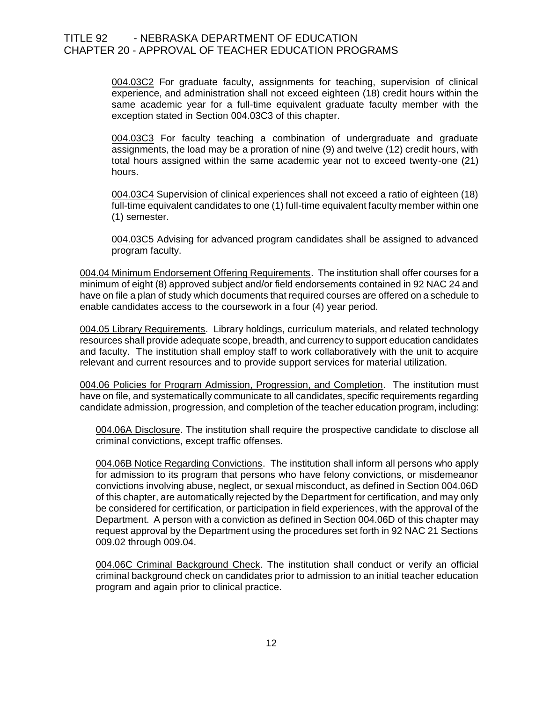004.03C2 For graduate faculty, assignments for teaching, supervision of clinical experience, and administration shall not exceed eighteen (18) credit hours within the same academic year for a full-time equivalent graduate faculty member with the exception stated in Section 004.03C3 of this chapter.

004.03C3 For faculty teaching a combination of undergraduate and graduate assignments, the load may be a proration of nine (9) and twelve (12) credit hours, with total hours assigned within the same academic year not to exceed twenty-one (21) hours.

004.03C4 Supervision of clinical experiences shall not exceed a ratio of eighteen (18) full-time equivalent candidates to one (1) full-time equivalent faculty member within one (1) semester.

004.03C5 Advising for advanced program candidates shall be assigned to advanced program faculty.

004.04 Minimum Endorsement Offering Requirements. The institution shall offer courses for a minimum of eight (8) approved subject and/or field endorsements contained in 92 NAC 24 and have on file a plan of study which documents that required courses are offered on a schedule to enable candidates access to the coursework in a four (4) year period.

004.05 Library Requirements. Library holdings, curriculum materials, and related technology resources shall provide adequate scope, breadth, and currency to support education candidates and faculty. The institution shall employ staff to work collaboratively with the unit to acquire relevant and current resources and to provide support services for material utilization.

004.06 Policies for Program Admission, Progression, and Completion. The institution must have on file, and systematically communicate to all candidates, specific requirements regarding candidate admission, progression, and completion of the teacher education program, including:

004.06A Disclosure. The institution shall require the prospective candidate to disclose all criminal convictions, except traffic offenses.

004.06B Notice Regarding Convictions. The institution shall inform all persons who apply for admission to its program that persons who have felony convictions, or misdemeanor convictions involving abuse, neglect, or sexual misconduct, as defined in Section 004.06D of this chapter, are automatically rejected by the Department for certification, and may only be considered for certification, or participation in field experiences, with the approval of the Department. A person with a conviction as defined in Section 004.06D of this chapter may request approval by the Department using the procedures set forth in 92 NAC 21 Sections 009.02 through 009.04.

004.06C Criminal Background Check. The institution shall conduct or verify an official criminal background check on candidates prior to admission to an initial teacher education program and again prior to clinical practice.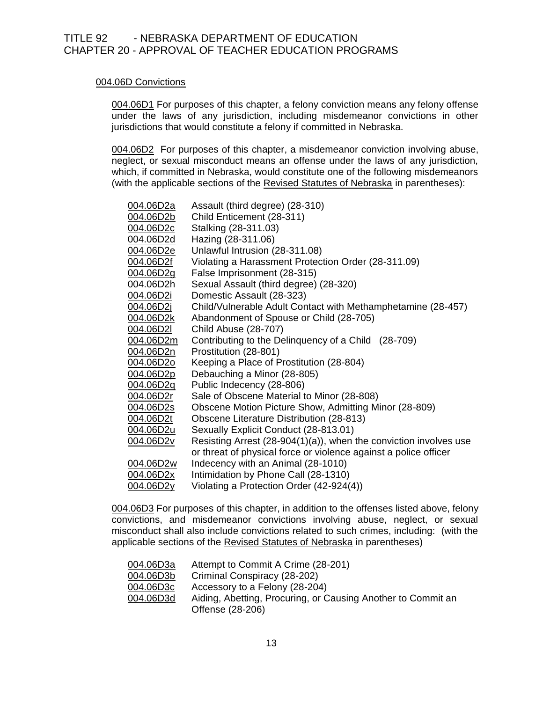## 004.06D Convictions

004.06D1 For purposes of this chapter, a felony conviction means any felony offense under the laws of any jurisdiction, including misdemeanor convictions in other jurisdictions that would constitute a felony if committed in Nebraska.

004.06D2 For purposes of this chapter, a misdemeanor conviction involving abuse, neglect, or sexual misconduct means an offense under the laws of any jurisdiction, which, if committed in Nebraska, would constitute one of the following misdemeanors (with the applicable sections of the Revised Statutes of Nebraska in parentheses):

| 004.06D2a        | Assault (third degree) (28-310)                                      |
|------------------|----------------------------------------------------------------------|
| 004.06D2b        | Child Enticement (28-311)                                            |
| <u>004.06D2c</u> | Stalking (28-311.03)                                                 |
| 004.06D2d        | Hazing (28-311.06)                                                   |
| <u>004.06D2e</u> | Unlawful Intrusion (28-311.08)                                       |
| <u>004.06D2f</u> | Violating a Harassment Protection Order (28-311.09)                  |
| <u>004.06D2g</u> | False Imprisonment (28-315)                                          |
| <u>004.06D2h</u> | Sexual Assault (third degree) (28-320)                               |
| 004.06D2i        | Domestic Assault (28-323)                                            |
| <u>004.06D2j</u> | Child/Vulnerable Adult Contact with Methamphetamine (28-457)         |
| <u>004.06D2k</u> | Abandonment of Spouse or Child (28-705)                              |
| <u>004.06D2l</u> | <b>Child Abuse (28-707)</b>                                          |
| 004.06D2m        | Contributing to the Delinquency of a Child (28-709)                  |
| <u>004.06D2n</u> | Prostitution (28-801)                                                |
| 004.06D2o        | Keeping a Place of Prostitution (28-804)                             |
| 004.06D2p        | Debauching a Minor (28-805)                                          |
| <u>004.06D2q</u> | Public Indecency (28-806)                                            |
| <u>004.06D2r</u> | Sale of Obscene Material to Minor (28-808)                           |
| <u>004.06D2s</u> | Obscene Motion Picture Show, Admitting Minor (28-809)                |
| 004.06D2t        | Obscene Literature Distribution (28-813)                             |
| <u>004.06D2u</u> | Sexually Explicit Conduct (28-813.01)                                |
| 004.06D2v        | Resisting Arrest $(28-904(1)(a))$ , when the conviction involves use |
|                  | or threat of physical force or violence against a police officer     |
| 004.06D2w        | Indecency with an Animal (28-1010)                                   |
| <u>004.06D2x</u> | Intimidation by Phone Call (28-1310)                                 |
| 004.06D2y        | Violating a Protection Order (42-924(4))                             |

004.06D3 For purposes of this chapter, in addition to the offenses listed above, felony convictions, and misdemeanor convictions involving abuse, neglect, or sexual misconduct shall also include convictions related to such crimes, including: (with the applicable sections of the Revised Statutes of Nebraska in parentheses)

| 004.06D3a | Attempt to Commit A Crime (28-201)                                               |
|-----------|----------------------------------------------------------------------------------|
| 004.06D3b | Criminal Conspiracy (28-202)                                                     |
| 004.06D3c | Accessory to a Felony (28-204)                                                   |
| 004.06D3d | Aiding, Abetting, Procuring, or Causing Another to Commit an<br>Offense (28-206) |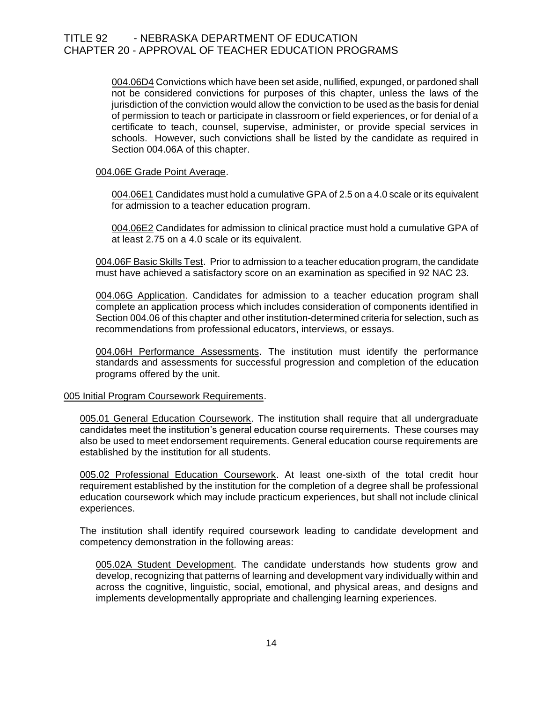004.06D4 Convictions which have been set aside, nullified, expunged, or pardoned shall not be considered convictions for purposes of this chapter, unless the laws of the jurisdiction of the conviction would allow the conviction to be used as the basis for denial of permission to teach or participate in classroom or field experiences, or for denial of a certificate to teach, counsel, supervise, administer, or provide special services in schools. However, such convictions shall be listed by the candidate as required in Section 004.06A of this chapter.

## 004.06E Grade Point Average.

004.06E1 Candidates must hold a cumulative GPA of 2.5 on a 4.0 scale or its equivalent for admission to a teacher education program.

004.06E2 Candidates for admission to clinical practice must hold a cumulative GPA of at least 2.75 on a 4.0 scale or its equivalent.

004.06F Basic Skills Test. Prior to admission to a teacher education program, the candidate must have achieved a satisfactory score on an examination as specified in 92 NAC 23.

004.06G Application. Candidates for admission to a teacher education program shall complete an application process which includes consideration of components identified in Section 004.06 of this chapter and other institution-determined criteria for selection, such as recommendations from professional educators, interviews, or essays.

004.06H Performance Assessments. The institution must identify the performance standards and assessments for successful progression and completion of the education programs offered by the unit.

#### 005 Initial Program Coursework Requirements.

005.01 General Education Coursework. The institution shall require that all undergraduate candidates meet the institution's general education course requirements. These courses may also be used to meet endorsement requirements. General education course requirements are established by the institution for all students.

005.02 Professional Education Coursework. At least one-sixth of the total credit hour requirement established by the institution for the completion of a degree shall be professional education coursework which may include practicum experiences, but shall not include clinical experiences.

The institution shall identify required coursework leading to candidate development and competency demonstration in the following areas:

005.02A Student Development. The candidate understands how students grow and develop, recognizing that patterns of learning and development vary individually within and across the cognitive, linguistic, social, emotional, and physical areas, and designs and implements developmentally appropriate and challenging learning experiences.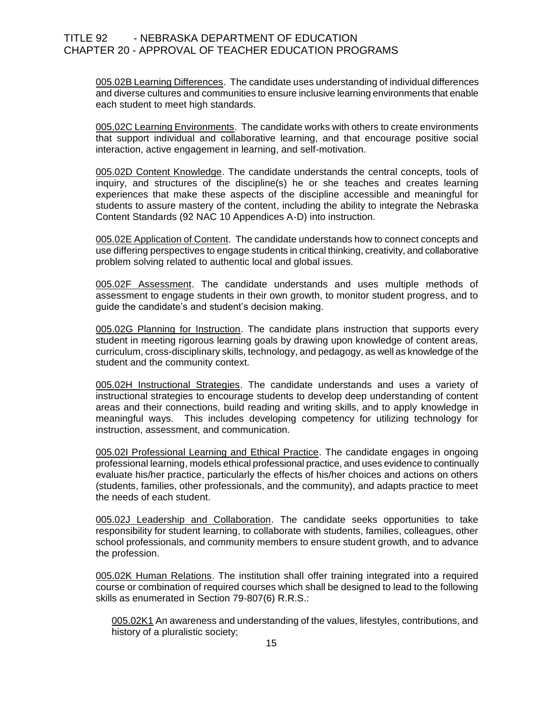005.02B Learning Differences. The candidate uses understanding of individual differences and diverse cultures and communities to ensure inclusive learning environments that enable each student to meet high standards.

005.02C Learning Environments. The candidate works with others to create environments that support individual and collaborative learning, and that encourage positive social interaction, active engagement in learning, and self-motivation.

005.02D Content Knowledge. The candidate understands the central concepts, tools of inquiry, and structures of the discipline(s) he or she teaches and creates learning experiences that make these aspects of the discipline accessible and meaningful for students to assure mastery of the content, including the ability to integrate the Nebraska Content Standards (92 NAC 10 Appendices A-D) into instruction.

005.02E Application of Content. The candidate understands how to connect concepts and use differing perspectives to engage students in critical thinking, creativity, and collaborative problem solving related to authentic local and global issues.

005.02F Assessment. The candidate understands and uses multiple methods of assessment to engage students in their own growth, to monitor student progress, and to guide the candidate's and student's decision making.

005.02G Planning for Instruction. The candidate plans instruction that supports every student in meeting rigorous learning goals by drawing upon knowledge of content areas, curriculum, cross-disciplinary skills, technology, and pedagogy, as well as knowledge of the student and the community context.

005.02H Instructional Strategies. The candidate understands and uses a variety of instructional strategies to encourage students to develop deep understanding of content areas and their connections, build reading and writing skills, and to apply knowledge in meaningful ways. This includes developing competency for utilizing technology for instruction, assessment, and communication.

005.02I Professional Learning and Ethical Practice. The candidate engages in ongoing professional learning, models ethical professional practice, and uses evidence to continually evaluate his/her practice, particularly the effects of his/her choices and actions on others (students, families, other professionals, and the community), and adapts practice to meet the needs of each student.

005.02J Leadership and Collaboration. The candidate seeks opportunities to take responsibility for student learning, to collaborate with students, families, colleagues, other school professionals, and community members to ensure student growth, and to advance the profession.

005.02K Human Relations. The institution shall offer training integrated into a required course or combination of required courses which shall be designed to lead to the following skills as enumerated in Section 79-807(6) R.R.S.:

005.02K1 An awareness and understanding of the values, lifestyles, contributions, and history of a pluralistic society;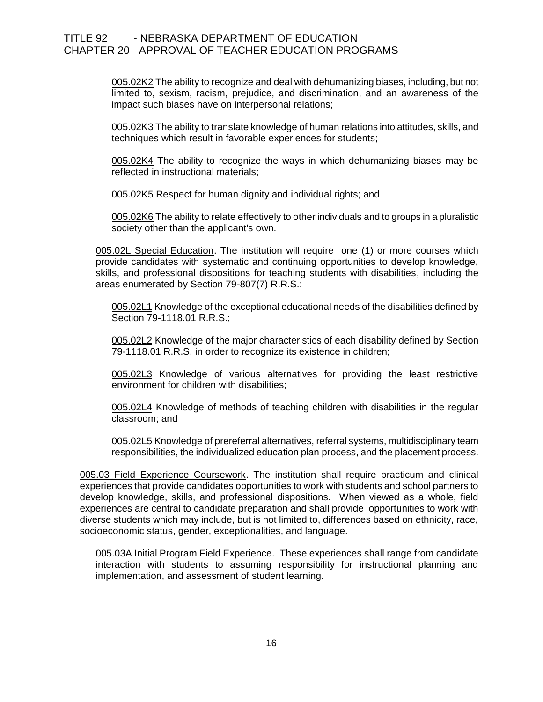005.02K2 The ability to recognize and deal with dehumanizing biases, including, but not limited to, sexism, racism, prejudice, and discrimination, and an awareness of the impact such biases have on interpersonal relations;

005.02K3 The ability to translate knowledge of human relations into attitudes, skills, and techniques which result in favorable experiences for students;

005.02K4 The ability to recognize the ways in which dehumanizing biases may be reflected in instructional materials;

005.02K5 Respect for human dignity and individual rights; and

005.02K6 The ability to relate effectively to other individuals and to groups in a pluralistic society other than the applicant's own.

005.02L Special Education. The institution will require one (1) or more courses which provide candidates with systematic and continuing opportunities to develop knowledge, skills, and professional dispositions for teaching students with disabilities, including the areas enumerated by Section 79-807(7) R.R.S.:

005.02L1 Knowledge of the exceptional educational needs of the disabilities defined by Section 79-1118.01 R.R.S.;

005.02L2 Knowledge of the major characteristics of each disability defined by Section 79-1118.01 R.R.S. in order to recognize its existence in children;

005.02L3 Knowledge of various alternatives for providing the least restrictive environment for children with disabilities;

005.02L4 Knowledge of methods of teaching children with disabilities in the regular classroom; and

005.02L5 Knowledge of prereferral alternatives, referral systems, multidisciplinary team responsibilities, the individualized education plan process, and the placement process.

005.03 Field Experience Coursework. The institution shall require practicum and clinical experiences that provide candidates opportunities to work with students and school partners to develop knowledge, skills, and professional dispositions. When viewed as a whole, field experiences are central to candidate preparation and shall provide opportunities to work with diverse students which may include, but is not limited to, differences based on ethnicity, race, socioeconomic status, gender, exceptionalities, and language.

005.03A Initial Program Field Experience. These experiences shall range from candidate interaction with students to assuming responsibility for instructional planning and implementation, and assessment of student learning.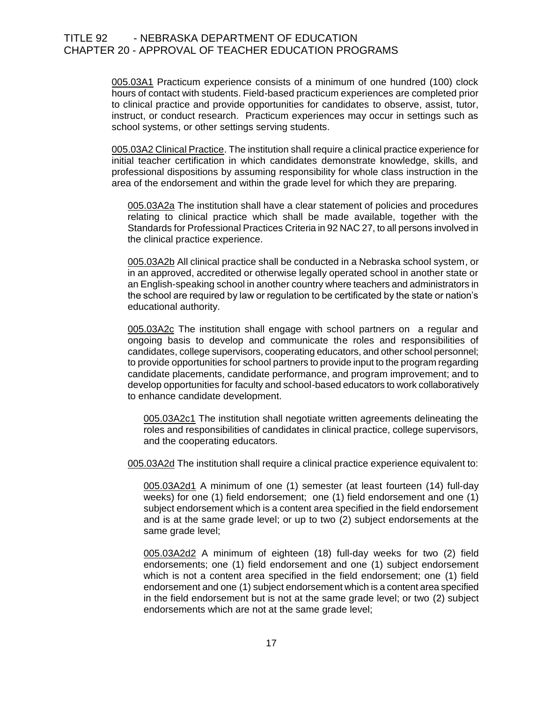005.03A1 Practicum experience consists of a minimum of one hundred (100) clock hours of contact with students. Field-based practicum experiences are completed prior to clinical practice and provide opportunities for candidates to observe, assist, tutor, instruct, or conduct research. Practicum experiences may occur in settings such as school systems, or other settings serving students.

005.03A2 Clinical Practice. The institution shall require a clinical practice experience for initial teacher certification in which candidates demonstrate knowledge, skills, and professional dispositions by assuming responsibility for whole class instruction in the area of the endorsement and within the grade level for which they are preparing.

005.03A2a The institution shall have a clear statement of policies and procedures relating to clinical practice which shall be made available, together with the Standards for Professional Practices Criteria in 92 NAC 27, to all persons involved in the clinical practice experience.

005.03A2b All clinical practice shall be conducted in a Nebraska school system, or in an approved, accredited or otherwise legally operated school in another state or an English-speaking school in another country where teachers and administrators in the school are required by law or regulation to be certificated by the state or nation's educational authority.

005.03A2c The institution shall engage with school partners on a regular and ongoing basis to develop and communicate the roles and responsibilities of candidates, college supervisors, cooperating educators, and other school personnel; to provide opportunities for school partners to provide input to the program regarding candidate placements, candidate performance, and program improvement; and to develop opportunities for faculty and school-based educators to work collaboratively to enhance candidate development.

005.03A2c1 The institution shall negotiate written agreements delineating the roles and responsibilities of candidates in clinical practice, college supervisors, and the cooperating educators.

005.03A2d The institution shall require a clinical practice experience equivalent to:

005.03A2d1 A minimum of one (1) semester (at least fourteen (14) full-day weeks) for one (1) field endorsement; one (1) field endorsement and one (1) subject endorsement which is a content area specified in the field endorsement and is at the same grade level; or up to two (2) subject endorsements at the same grade level;

005.03A2d2 A minimum of eighteen (18) full-day weeks for two (2) field endorsements; one (1) field endorsement and one (1) subject endorsement which is not a content area specified in the field endorsement; one (1) field endorsement and one (1) subject endorsement which is a content area specified in the field endorsement but is not at the same grade level; or two (2) subject endorsements which are not at the same grade level;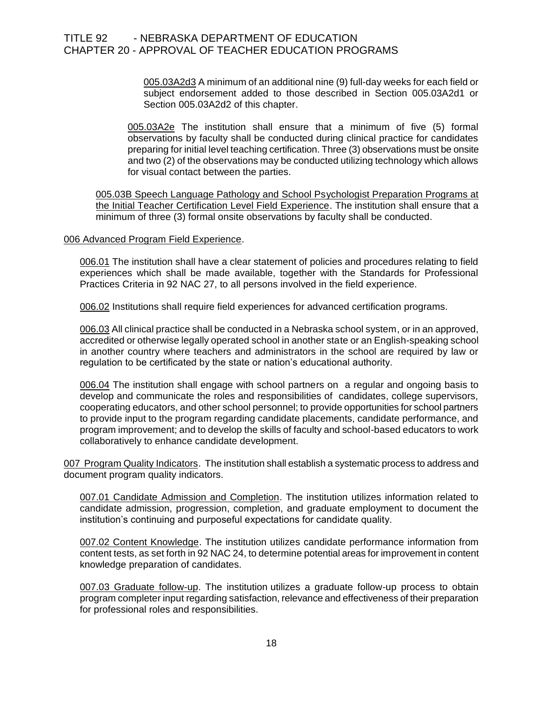005.03A2d3 A minimum of an additional nine (9) full-day weeks for each field or subject endorsement added to those described in Section 005.03A2d1 or Section 005.03A2d2 of this chapter.

005.03A2e The institution shall ensure that a minimum of five (5) formal observations by faculty shall be conducted during clinical practice for candidates preparing for initial level teaching certification. Three (3) observations must be onsite and two (2) of the observations may be conducted utilizing technology which allows for visual contact between the parties.

005.03B Speech Language Pathology and School Psychologist Preparation Programs at the Initial Teacher Certification Level Field Experience. The institution shall ensure that a minimum of three (3) formal onsite observations by faculty shall be conducted.

#### 006 Advanced Program Field Experience.

006.01 The institution shall have a clear statement of policies and procedures relating to field experiences which shall be made available, together with the Standards for Professional Practices Criteria in 92 NAC 27, to all persons involved in the field experience.

006.02 Institutions shall require field experiences for advanced certification programs.

006.03 All clinical practice shall be conducted in a Nebraska school system, or in an approved, accredited or otherwise legally operated school in another state or an English-speaking school in another country where teachers and administrators in the school are required by law or regulation to be certificated by the state or nation's educational authority.

006.04 The institution shall engage with school partners on a regular and ongoing basis to develop and communicate the roles and responsibilities of candidates, college supervisors, cooperating educators, and other school personnel; to provide opportunities for school partners to provide input to the program regarding candidate placements, candidate performance, and program improvement; and to develop the skills of faculty and school-based educators to work collaboratively to enhance candidate development.

007 Program Quality Indicators. The institution shall establish a systematic process to address and document program quality indicators.

007.01 Candidate Admission and Completion. The institution utilizes information related to candidate admission, progression, completion, and graduate employment to document the institution's continuing and purposeful expectations for candidate quality.

007.02 Content Knowledge. The institution utilizes candidate performance information from content tests, as set forth in 92 NAC 24, to determine potential areas for improvement in content knowledge preparation of candidates.

007.03 Graduate follow-up. The institution utilizes a graduate follow-up process to obtain program completer input regarding satisfaction, relevance and effectiveness of their preparation for professional roles and responsibilities.